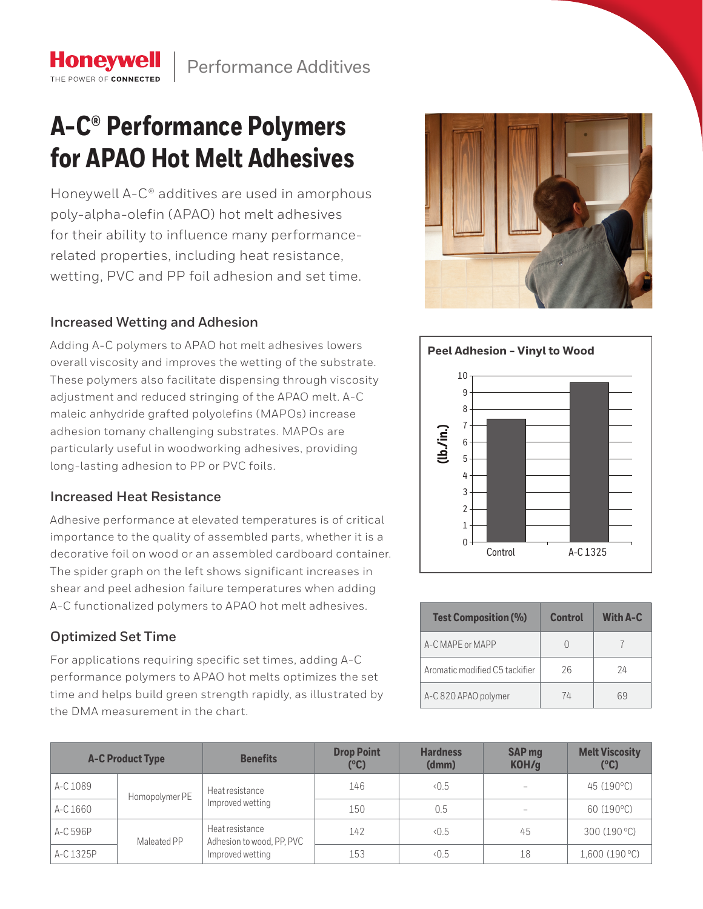## **A-C® Performance Polymers for APAO Hot Melt Adhesives**

Honeywell A-C® additives are used in amorphous poly-alpha-olefin (APAO) hot melt adhesives for their ability to influence many performancerelated properties, including heat resistance, wetting, PVC and PP foil adhesion and set time.

## **Increased Wetting and Adhesion**

**Honeywell** THE POWER OF CONNECTE

Adding A-C polymers to APAO hot melt adhesives lowers overall viscosity and improves the wetting of the substrate. These polymers also facilitate dispensing through viscosity adjustment and reduced stringing of the APAO melt. A-C maleic anhydride grafted polyolefins (MAPOs) increase adhesion tomany challenging substrates. MAPOs are particularly useful in woodworking adhesives, providing long-lasting adhesion to PP or PVC foils.

## **Increased Heat Resistance**

Adhesive performance at elevated temperatures is of critical importance to the quality of assembled parts, whether it is a decorative foil on wood or an assembled cardboard container. The spider graph on the left shows significant increases in shear and peel adhesion failure temperatures when adding A-C functionalized polymers to APAO hot melt adhesives.

## **Optimized Set Time**

For applications requiring specific set times, adding A-C performance polymers to APAO hot melts optimizes the set time and helps build green strength rapidly, as illustrated by the DMA measurement in the chart.





| <b>Test Composition (%)</b>    | <b>Control</b> | <b>With A-C</b> |  |
|--------------------------------|----------------|-----------------|--|
| A-C MAPF or MAPP               |                |                 |  |
| Aromatic modified C5 tackifier | 26             | 24              |  |
| A-C 820 APAO polymer           | 74             | ĥЧ              |  |

|           | <b>A-C Product Type</b> | <b>Benefits</b>                              | <b>Drop Point</b><br>(°C) | <b>Hardness</b><br>(dmm) | <b>SAP</b> mg<br>KOH/g | <b>Melt Viscosity</b><br>$(^{\circ}C)$ |
|-----------|-------------------------|----------------------------------------------|---------------------------|--------------------------|------------------------|----------------------------------------|
| A-C 1089  | Homopolymer PE          | Heat resistance<br>Improved wetting          | 146                       | 0.5                      |                        | 45 (190°C)                             |
| A-C 1660  |                         |                                              | 150                       | 0.5                      |                        | 60 (190°C)                             |
| A-C 596P  | Maleated PP             | Heat resistance<br>Adhesion to wood, PP, PVC | 142                       | 0.5                      | 45                     | 300 (190 °C)                           |
| A-C 1325P |                         | Improved wetting                             | 153                       | 0.5                      | 18                     | 1,600(190°C)                           |